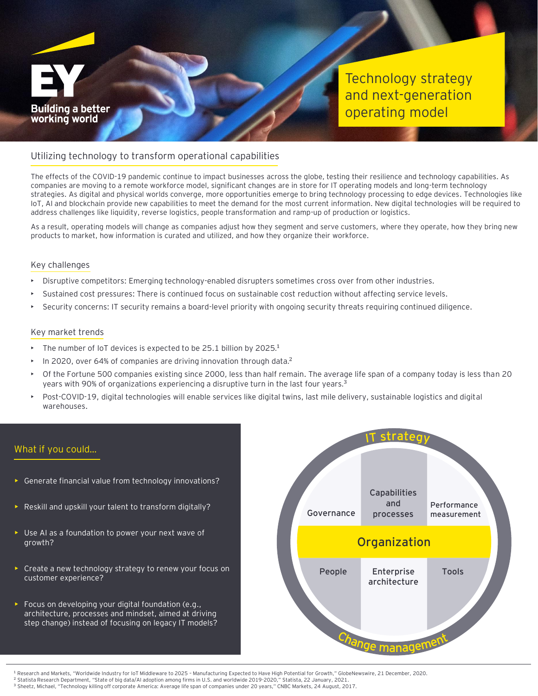

Technology strategy and next-generation operating model

## Utilizing technology to transform operational capabilities

The effects of the COVID-19 pandemic continue to impact businesses across the globe, testing their resilience and technology capabilities. As companies are moving to a remote workforce model, significant changes are in store for IT operating models and long-term technology strategies. As digital and physical worlds converge, more opportunities emerge to bring technology processing to edge devices. Technologies like IoT, AI and blockchain provide new capabilities to meet the demand for the most current information. New digital technologies will be required to address challenges like liquidity, reverse logistics, people transformation and ramp-up of production or logistics.

As a result, operating models will change as companies adjust how they segment and serve customers, where they operate, how they bring new products to market, how information is curated and utilized, and how they organize their workforce.

#### Key challenges

- Disruptive competitors: Emerging technology-enabled disrupters sometimes cross over from other industries.
- Sustained cost pressures: There is continued focus on sustainable cost reduction without affecting service levels.
- Security concerns: IT security remains a board-level priority with ongoing security threats requiring continued diligence.

#### Key market trends

- The number of IoT devices is expected to be 25.1 billion by 2025.<sup>1</sup>
- In 2020, over 64% of companies are driving innovation through data.<sup>2</sup>
- Of the Fortune 500 companies existing since 2000, less than half remain. The average life span of a company today is less than 20 years with 90% of organizations experiencing a disruptive turn in the last four years.<sup>3</sup>
- Post-COVID-19, digital technologies will enable services like digital twins, last mile delivery, sustainable logistics and digital warehouses.

## What if you could…

- Generate financial value from technology innovations?
- Reskill and upskill your talent to transform digitally?
- Use AI as a foundation to power your next wave of growth?
- Create a new technology strategy to renew your focus on customer experience?
- Focus on developing your digital foundation (e.g., architecture, processes and mindset, aimed at driving step change) instead of focusing on legacy IT models?



<sup>1</sup> Research and Markets, "Worldwide Industry for IoT Middleware to 2025 – Manufacturing Expected to Have High Potential for Growth," GlobeNewswire, 21 December, 2020.

<sup>2</sup> Statista Research Department, "State of big data/AI adoption among firms in U.S. and worldwide 2019-2020," Statista, 22 January, 2021. <sup>3</sup> Sheetz, Michael, "Technology killing off corporate America: Average life span of companies under 20 years," CNBC Markets, 24 August, 2017.